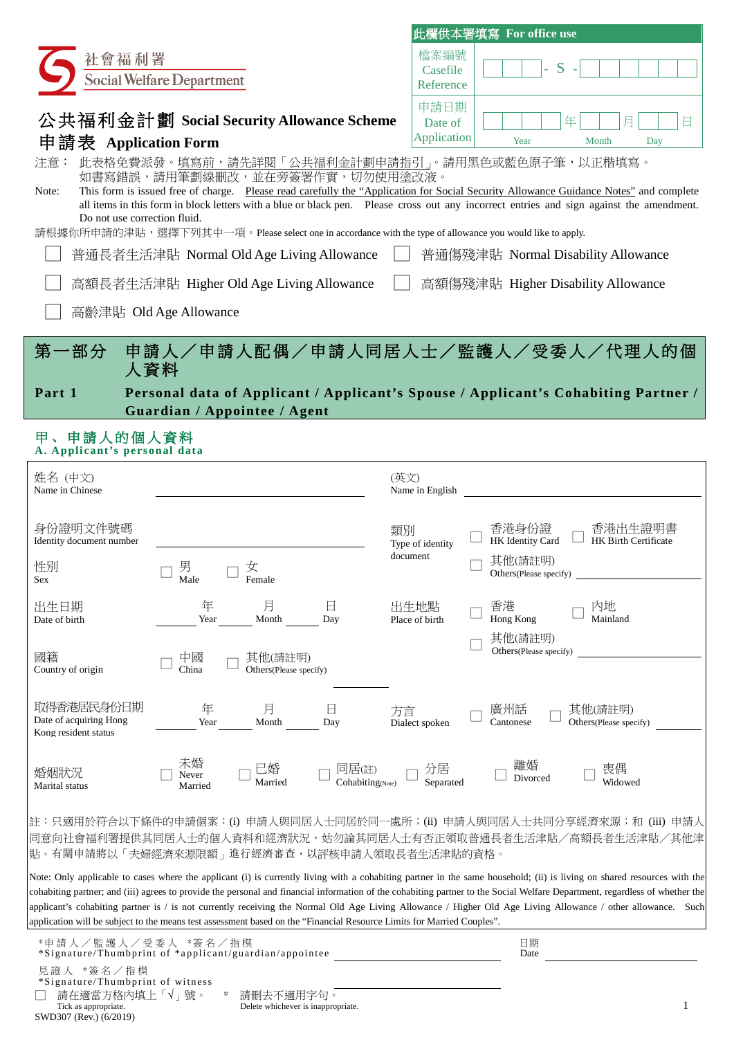|                                                                                                                    |                                                                                                                        |                                       | 此欄供本署填寫 For office use                                                                                                                                                                                                                                                                                                                                                                                                                                                                                                  |
|--------------------------------------------------------------------------------------------------------------------|------------------------------------------------------------------------------------------------------------------------|---------------------------------------|-------------------------------------------------------------------------------------------------------------------------------------------------------------------------------------------------------------------------------------------------------------------------------------------------------------------------------------------------------------------------------------------------------------------------------------------------------------------------------------------------------------------------|
| 社會福利署                                                                                                              | <b>Social Welfare Department</b>                                                                                       | 檔案編號<br>Casefile                      | S                                                                                                                                                                                                                                                                                                                                                                                                                                                                                                                       |
|                                                                                                                    |                                                                                                                        | Reference                             |                                                                                                                                                                                                                                                                                                                                                                                                                                                                                                                         |
| 申請表 Application Form                                                                                               | 公共福利金計劃 Social Security Allowance Scheme                                                                               | 申請日期<br>Date of<br><b>Application</b> | 年<br>月<br>Year<br>Month<br>Day                                                                                                                                                                                                                                                                                                                                                                                                                                                                                          |
|                                                                                                                    | 注意: 此表格免費派發。填寫前,請先詳閱「公共福利金計劃申請指引」。請用黑色或藍色原子筆,以正楷填寫。                                                                    |                                       |                                                                                                                                                                                                                                                                                                                                                                                                                                                                                                                         |
| Note:                                                                                                              | 如書寫錯誤,請用筆劃線刪改,並在旁簽署作實,切勿使用塗改液。                                                                                         |                                       | This form is issued free of charge. Please read carefully the "Application for Social Security Allowance Guidance Notes" and complete                                                                                                                                                                                                                                                                                                                                                                                   |
|                                                                                                                    |                                                                                                                        |                                       | all items in this form in block letters with a blue or black pen. Please cross out any incorrect entries and sign against the amendment.                                                                                                                                                                                                                                                                                                                                                                                |
| Do not use correction fluid.                                                                                       | 請根據你所申請的津貼,選擇下列其中一項。Please select one in accordance with the type of allowance you would like to apply.                |                                       |                                                                                                                                                                                                                                                                                                                                                                                                                                                                                                                         |
|                                                                                                                    | 普通長者生活津貼 Normal Old Age Living Allowance                                                                               |                                       | 普通傷殘津貼 Normal Disability Allowance                                                                                                                                                                                                                                                                                                                                                                                                                                                                                      |
|                                                                                                                    | 高額長者生活津貼 Higher Old Age Living Allowance                                                                               |                                       | 高額傷殘津貼 Higher Disability Allowance                                                                                                                                                                                                                                                                                                                                                                                                                                                                                      |
|                                                                                                                    | 高齡津貼 Old Age Allowance                                                                                                 |                                       |                                                                                                                                                                                                                                                                                                                                                                                                                                                                                                                         |
| 第一部分                                                                                                               |                                                                                                                        |                                       | 申請人/申請人配偶/申請人同居人士/監護人/受委人/代理人的個                                                                                                                                                                                                                                                                                                                                                                                                                                                                                         |
| 人資料                                                                                                                |                                                                                                                        |                                       |                                                                                                                                                                                                                                                                                                                                                                                                                                                                                                                         |
| Part 1                                                                                                             | Guardian / Appointee / Agent                                                                                           |                                       | Personal data of Applicant / Applicant's Spouse / Applicant's Cohabiting Partner /                                                                                                                                                                                                                                                                                                                                                                                                                                      |
| 甲、申請人的個人資料<br>A. Applicant's personal data                                                                         |                                                                                                                        |                                       |                                                                                                                                                                                                                                                                                                                                                                                                                                                                                                                         |
| 姓名 (中文)<br>Name in Chinese                                                                                         |                                                                                                                        | (英文)<br>Name in English               |                                                                                                                                                                                                                                                                                                                                                                                                                                                                                                                         |
|                                                                                                                    |                                                                                                                        |                                       |                                                                                                                                                                                                                                                                                                                                                                                                                                                                                                                         |
| 身份證明文件號碼                                                                                                           |                                                                                                                        | 類別                                    | 香港身份證<br>否港出生證明書                                                                                                                                                                                                                                                                                                                                                                                                                                                                                                        |
| Identity document number                                                                                           |                                                                                                                        | Type of identity<br>document          | HK Identity Card<br><b>HK Birth Certificate</b><br>其他(請註明)                                                                                                                                                                                                                                                                                                                                                                                                                                                              |
| 性別<br>Sex                                                                                                          | 男<br>女<br>Male<br>Female                                                                                               |                                       | Others (Please specify)                                                                                                                                                                                                                                                                                                                                                                                                                                                                                                 |
| 出生日期                                                                                                               | 月<br>年<br>日                                                                                                            | 出生地點                                  | 香港<br>內地                                                                                                                                                                                                                                                                                                                                                                                                                                                                                                                |
| Date of birth                                                                                                      | Year<br>Month<br>Day                                                                                                   | Place of birth                        | Mainland<br>Hong Kong<br>其他(請註明)                                                                                                                                                                                                                                                                                                                                                                                                                                                                                        |
| 國籍                                                                                                                 | 中國<br>其他(請註明)                                                                                                          |                                       | Others(Please specify)                                                                                                                                                                                                                                                                                                                                                                                                                                                                                                  |
| Country of origin                                                                                                  | China<br>Others(Please specify)                                                                                        |                                       |                                                                                                                                                                                                                                                                                                                                                                                                                                                                                                                         |
| 取得香港居民身份日期<br>Date of acquiring Hong<br>Kong resident status                                                       | 年<br>月<br>日<br>Year<br>Month<br>Day                                                                                    | 方言<br>Dialect spoken                  | 廣州話<br>其他(請註明)<br>Cantonese<br>Others(Please specify)                                                                                                                                                                                                                                                                                                                                                                                                                                                                   |
| 婚姻狀況<br>Marital status                                                                                             | 未婚<br>已婚<br>同居(註)<br>Never<br>Cohabiting(Note)<br>Married<br>Married                                                   | 分居<br>Separated                       | 離婚<br>喪偶<br>Divorced<br>Widowed                                                                                                                                                                                                                                                                                                                                                                                                                                                                                         |
|                                                                                                                    | 貼。有關申請將以「夫婦經濟來源限額」進行經濟審查,以評核申請人領取長者生活津貼的資格。                                                                            |                                       | 註:只適用於符合以下條件的申請個案:(i) 申請人與同居人士同居於同一處所;(ii) 申請人與同居人士共同分享經濟來源;和 (iii) 申請人<br>同意向社會福利署提供其同居人士的個人資料和經濟狀況,姑勿論其同居人士有否正領取普通長者生活津貼/高額長者生活津貼/其他津                                                                                                                                                                                                                                                                                                                                                                                 |
|                                                                                                                    | application will be subject to the means test assessment based on the "Financial Resource Limits for Married Couples". |                                       | Note: Only applicable to cases where the applicant (i) is currently living with a cohabiting partner in the same household; (ii) is living on shared resources with the<br>cohabiting partner; and (iii) agrees to provide the personal and financial information of the cohabiting partner to the Social Welfare Department, regardless of whether the<br>applicant's cohabiting partner is / is not currently receiving the Normal Old Age Living Allowance / Higher Old Age Living Allowance / other allowance. Such |
| *申請人/監護人/受委人 *簽名/指模                                                                                                | *Signature/Thumbprint of *applicant/guardian/appointee                                                                 |                                       | 日期<br>Date                                                                                                                                                                                                                                                                                                                                                                                                                                                                                                              |
| 見證人 *簽名/指模<br>*Signature/Thumbprint of witness<br>請在適當方格內填上「√」號。<br>Tick as appropriate.<br>SWD307 (Rev.) (6/2019) | 請刪去不適用字句。<br>Delete whichever is inappropriate.                                                                        |                                       | 1                                                                                                                                                                                                                                                                                                                                                                                                                                                                                                                       |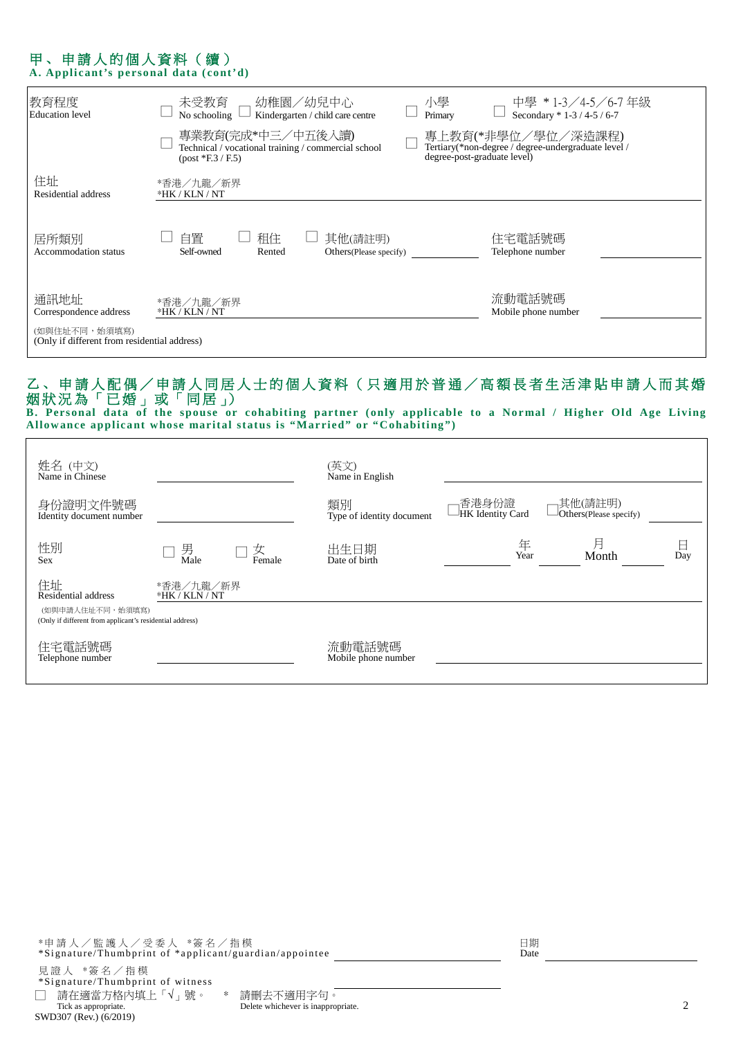## 甲 、 申請人的個人資料(續) **A. Applicant's personal data (cont'd)**

| 教育程度<br><b>Education</b> level                                | 幼稚園/幼兒中心<br>未受教育<br>Kindergarten / child care centre<br>No schooling                            | 小學<br>Primary               | 中學 * 1-3/4-5/6-7 年級<br>Secondary * 1-3 / 4-5 / 6-7                        |
|---------------------------------------------------------------|-------------------------------------------------------------------------------------------------|-----------------------------|---------------------------------------------------------------------------|
|                                                               | 專業教育(完成*中三/中五後入讀)<br>Technical / vocational training / commercial school<br>$-post *F.3 / F.5)$ | degree-post-graduate level) | 專上教育(*非學位/學位/深造課程)<br>Tertiary(*non-degree / degree-undergraduate level / |
| 住址<br>Residential address                                     | *香港/九龍/新界<br>*HK / KLN / NT                                                                     |                             |                                                                           |
| 居所類別<br><b>Accommodation</b> status                           | 自置<br>租住<br>其他(請註明)<br>Self-owned<br>Others (Please specify)<br>Rented                          |                             | 住宅電話號碼<br>Telephone number                                                |
| 通訊地址<br>Correspondence address                                | *香港/九龍/新界<br>*HK / KLN / NT                                                                     |                             | 流動電話號碼<br>Mobile phone number                                             |
| (如與住址不同,始須填寫)<br>(Only if different from residential address) |                                                                                                 |                             |                                                                           |

# 乙、申請人配偶/申請人同居人士的個人資料(只適用於普通/高額長者生活津貼申請人而其婚 姻狀況為 「 已 婚 」 或 「 同 居 」)

**B. Personal data of the spouse or cohabiting partner (only applicable to a Normal / Higher Old Age Living Allowance applicant whose marital status is "Married" or "Cohabiting")**

| 姓名 (中文)<br>Name in Chinese                                                                                |                             |             | (英文)<br>Name in English         |                                  |                                   |          |
|-----------------------------------------------------------------------------------------------------------|-----------------------------|-------------|---------------------------------|----------------------------------|-----------------------------------|----------|
| 身份證明文件號碼<br>Identity document number                                                                      |                             |             | 類別<br>Type of identity document | 香港身份證<br><b>HK</b> Identity Card | 其他(請註明)<br>Others(Please specify) |          |
| 性別<br>Sex                                                                                                 | 男<br>Male                   | 女<br>Female | 出生日期<br>Date of birth           | 年<br>Year                        | 月<br>Month                        | 日<br>Day |
| 住址<br>Residential address<br>(如與申請人住址不同,始須填寫)<br>(Only if different from applicant's residential address) | *香港/九龍/新界<br>*HK / KLN / NT |             |                                 |                                  |                                   |          |
| 住宅電話號碼<br>Telephone number                                                                                |                             |             | 流動電話號碼<br>Mobile phone number   |                                  |                                   |          |

| *申請人/監護人/受委人 *簽名/指模<br>*Signature/Thumbprint of *applicant/guardian/appointee |                                                 | 日期<br>Date |  |
|-------------------------------------------------------------------------------|-------------------------------------------------|------------|--|
| 見證人 *簽名/指模<br>*Signature/Thumbprint of witness                                |                                                 |            |  |
| 請在適當方格內填上「√」號。<br>* .<br>Tick as appropriate.<br>SWD307 (Rev.) (6/2019)       | 請刪去不適用字句。<br>Delete whichever is inappropriate. |            |  |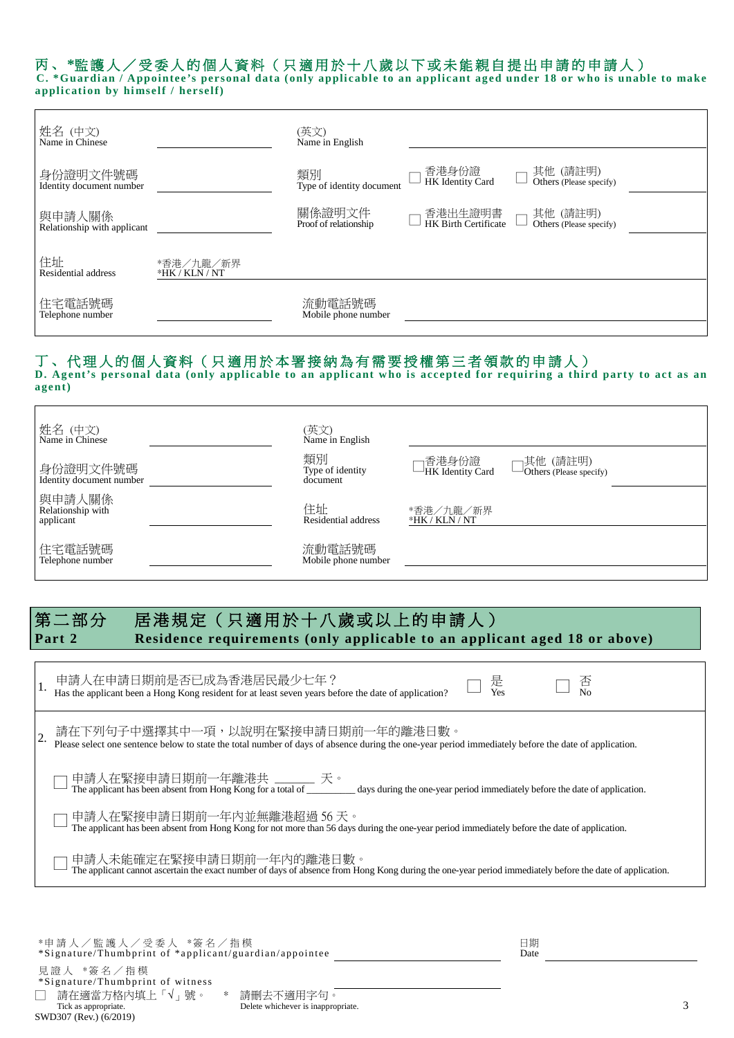## 丙 、 **\***監護人/受委人的個人資料 (只適用於十八歲以下或未能親自提出申 請的申請人)

**C. \*Guardian / Appointee 's personal data (only applicable to an applicant aged under 18 or who is unable to make application by hi mself / herself)**

| 姓名 (中文)<br>Name in Chinese            |                             | (英文)<br>Name in English         |                                 |                                     |  |
|---------------------------------------|-----------------------------|---------------------------------|---------------------------------|-------------------------------------|--|
| 身份證明文件號碼<br>Identity document number  |                             | 類別<br>Type of identity document | 香港身份證<br>HK Identity Card       | 其他 (請註明)<br>Others (Please specify) |  |
| 與申請人關係<br>Relationship with applicant |                             | 關係證明文件<br>Proof of relationship | 香港出生證明書<br>HK Birth Certificate | 其他 (請註明)<br>Others (Please specify) |  |
| 住址<br>Residential address             | *香港/九龍/新界<br>*HK / KLN / NT |                                 |                                 |                                     |  |
| 住宅電話號碼<br>Telephone number            |                             | 流動電話號碼<br>Mobile phone number   |                                 |                                     |  |

## 丁、代理人的個人資料(只適用於本署接納為有需要授權第三者領款的申請人)

**D. Agent's personal data (only applicable to an applicant who is accepted for requiring a third party to act as an agent)**

| 姓名 (中文)<br>Name in Chinese               | (英文)<br>Name in English            |                             |                                                  |
|------------------------------------------|------------------------------------|-----------------------------|--------------------------------------------------|
| 身份證明文件號碼<br>Identity document number     | 類別<br>Type of identity<br>document | ]香港身份證<br>-HK Identity Card | <sub>]</sub> 其他 (請註明)<br>Others (Please specify) |
| 與申請人關係<br>Relationship with<br>applicant | 住址<br>Residential address          | *香港/九龍/新界<br>*HK / KLN / NT |                                                  |
| 住宅電話號碼<br>Telephone number               | 流動電話號碼<br>Mobile phone number      |                             |                                                  |

# L 第二部分 居港規定(只適用於十八歲或以上的申請人) **Part 2 Residence requirements (only applicable to an applicant aged 18 or above)**

| 申請人在申請日期前是否已成為香港居民最少七年?<br>Has the applicant been a Hong Kong resident for at least seven years before the date of application?<br>是<br>Yes                                               | 合<br>No    |  |  |  |  |  |  |
|-------------------------------------------------------------------------------------------------------------------------------------------------------------------------------------------|------------|--|--|--|--|--|--|
| 請在下列句子中選擇其中一項,以說明在緊接申請日期前一年的離港日數。<br>Please select one sentence below to state the total number of days of absence during the one-year period immediately before the date of application. |            |  |  |  |  |  |  |
| 申請人在緊接申請日期前一年離港共 ______ 天。<br>The applicant has been absent from Hong Kong for a total of _______<br>days during the one-year period immediately before the date of application.          |            |  |  |  |  |  |  |
| 申請人在緊接申請日期前一年內並無離港超過 56 天。<br>The applicant has been absent from Hong Kong for not more than 56 days during the one-year period immediately before the date of application.               |            |  |  |  |  |  |  |
| 申請人未能確定在緊接申請日期前一年內的離港日數。<br>The applicant cannot ascertain the exact number of days of absence from Hong Kong during the one-year period immediately before the date of application.      |            |  |  |  |  |  |  |
|                                                                                                                                                                                           |            |  |  |  |  |  |  |
| *申請人/監護人/受委人 *簽名/指模<br>*Signature/Thumbprint of *applicant/guardian/appointee                                                                                                             | 日期<br>Date |  |  |  |  |  |  |

見證人 \*簽 名 / 指 模 \*Signature/Thumbprint of witness □ 請在適當方格內填上「√」號。 \* 請刪去不適用字句。 Tick as appropriate. Delete whichever is inappropriate. 3 SWD307 (Rev.) (6/2019)

 $\mathbf{r}$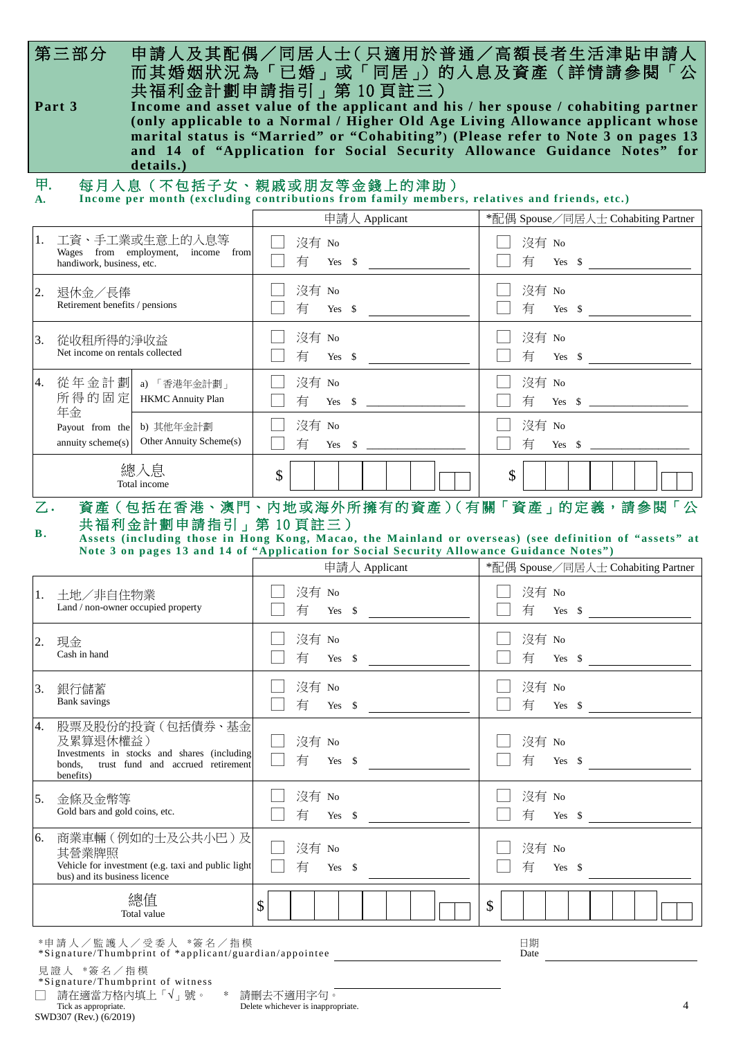|          | 第三部分<br>Part 3                                               | details.)                                                                                                                           | 申請人及其配偶/同居人士(只適用於普通/高額長者生活津貼申請人<br>而其婚姻狀況為「已婚」或「同居」)的入息及資產(詳情請參閱「公<br>共福利金計劃申請指引」第10頁註三)<br>Income and asset value of the applicant and his / her spouse / cohabiting partner<br>(only applicable to a Normal / Higher Old Age Living Allowance applicant whose<br>marital status is "Married" or "Cohabiting") (Please refer to Note 3 on pages 13<br>and 14 of "Application for Social Security Allowance Guidance Notes" for |                                              |
|----------|--------------------------------------------------------------|-------------------------------------------------------------------------------------------------------------------------------------|---------------------------------------------------------------------------------------------------------------------------------------------------------------------------------------------------------------------------------------------------------------------------------------------------------------------------------------------------------------------------------------------------------------------------------|----------------------------------------------|
| 甲.<br>A. |                                                              |                                                                                                                                     | 每月入息(不包括子女、親戚或朋友等金錢上的津助)<br>Income per month (excluding contributions from family members, relatives and friends, etc.)                                                                                                                                                                                                                                                                                                         |                                              |
|          |                                                              |                                                                                                                                     | 申請人 Applicant                                                                                                                                                                                                                                                                                                                                                                                                                   | *配偶 Spouse/同居人士 Cohabiting Partner           |
| 1.       | handiwork, business, etc.                                    | 工資、手工業或生意上的入息等<br>Wages from employment, income from                                                                                | 沒有 No<br>有<br>$Yes$ \$                                                                                                                                                                                                                                                                                                                                                                                                          | 沒有 No<br>有<br>Yes \$                         |
| 2.       | 退休金/長俸<br>Retirement benefits / pensions                     |                                                                                                                                     | 沒有 No<br>有<br>$Yes$ \$                                                                                                                                                                                                                                                                                                                                                                                                          | 沒有 No<br>有<br>Yes \$                         |
| 3.       | 從收租所得的淨收益<br>Net income on rentals collected                 |                                                                                                                                     | 沒有 No<br>有<br>Yes \$                                                                                                                                                                                                                                                                                                                                                                                                            | 沒有 No<br>有<br>Yes \$                         |
|          | 4. 從年金計劃<br>所得的固定<br>年金                                      | a) 「香港年金計劃」<br><b>HKMC</b> Annuity Plan                                                                                             | 沒有 No<br>有<br>$Yes \t S$                                                                                                                                                                                                                                                                                                                                                                                                        | 沒有 No<br>有<br>Yes $\frac{1}{2}$              |
|          | Payout from the<br>annuity scheme(s)                         | b) 其他年金計劃<br>Other Annuity Scheme(s)                                                                                                | 沒有 No<br>有<br>$Yes \tS$                                                                                                                                                                                                                                                                                                                                                                                                         | 沒有 No<br>有<br>$Yes \quad $$                  |
|          |                                                              | 總入息<br>Total income                                                                                                                 | \$                                                                                                                                                                                                                                                                                                                                                                                                                              | \$                                           |
| 乙.<br>В. |                                                              | 共福利金計劃申請指引」第10頁註三)                                                                                                                  | 資產(包括在香港、澳門、內地或海外所擁有的資產)(有關「資產」的定義,請參閱「公<br>Assets (including those in Hong Kong, Macao, the Mainland or overseas) (see definition of "assets" at<br>Note 3 on pages 13 and 14 of "Application for Social Security Allowance Guidance Notes")<br>申請人 Applicant                                                                                                                                                                  | *配偶 Spouse/同居人士 Cohabiting Partner           |
|          | 1. 土地/非自住物業<br>Land / non-owner occupied property            |                                                                                                                                     | 沒有 No<br>有<br>$Yes$ \$                                                                                                                                                                                                                                                                                                                                                                                                          | □ 沒有 No<br>有<br>Yes \$                       |
| 2.       | 現金<br>Cash in hand                                           |                                                                                                                                     | 沒有 No<br>有<br>Yes \$                                                                                                                                                                                                                                                                                                                                                                                                            | 沒有 No<br>有<br>$Yes \quad $ \quad \text{---}$ |
| 3.       | 銀行儲蓄<br><b>Bank</b> savings                                  |                                                                                                                                     | 沒有 No<br>有<br>$Yes$ $$$                                                                                                                                                                                                                                                                                                                                                                                                         | 沒有 No<br>有<br>$Yes \t$$                      |
| 4.       | 及累算退休權益)<br>benefits)                                        | 股票及股份的投資(包括債券、基金<br>Investments in stocks and shares (including<br>bonds, trust fund and accrued retirement                         | 沒有 No<br>有<br>$Yes$ \$                                                                                                                                                                                                                                                                                                                                                                                                          | 沒有 No<br>有<br>$Yes \quad $ \quad \text{S}$   |
| 5.       | 金條及金幣等<br>Gold bars and gold coins, etc.                     |                                                                                                                                     | 沒有 No<br>有<br>$Yes$ $$$                                                                                                                                                                                                                                                                                                                                                                                                         | 沒有 No<br>有<br>Yes \$                         |
| 6.       | 其營業牌照<br>bus) and its business licence                       | 商業車輛 (例如的士及公共小巴)及<br>Vehicle for investment (e.g. taxi and public light                                                             | 沒有 No<br>有<br>Yes \$                                                                                                                                                                                                                                                                                                                                                                                                            | 沒有 No<br>有<br>$Yes$ $$$                      |
|          |                                                              | 總值<br>Total value                                                                                                                   | \$                                                                                                                                                                                                                                                                                                                                                                                                                              | \$                                           |
|          | 見證人 *簽名/指模<br>Tick as appropriate.<br>SWD307 (Rev.) (6/2019) | *申請人/監護人/受委人 *簽名/指模<br>*Signature/Thumbprint of *applicant/guardian/appointee<br>*Signature/Thumbprint of witness<br>請在適當方格內填上「√」號。 | * 請刪去不適用字句。<br>Delete whichever is inappropriate.                                                                                                                                                                                                                                                                                                                                                                               | 日期<br>Date<br>$\overline{4}$                 |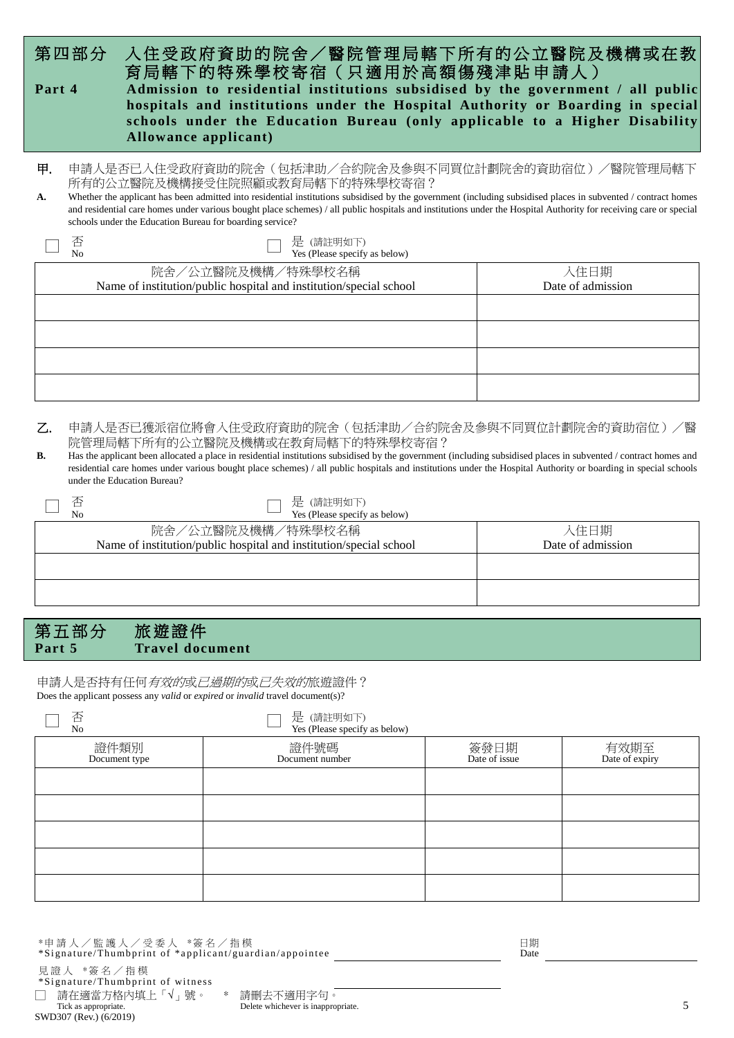| 第四部分<br>Part 4<br>Allowance applicant)                                                                                                                                                                                                                                                                                                                                                                                                                                                              | 入住受政府資助的院舍/醫院管理局轄下所有的公立醫院及機構或在教<br>育局轄下的特殊學校寄宿(只適用於高額傷殘津貼申請人)<br>Admission to residential institutions subsidised by the government / all public<br>hospitals and institutions under the Hospital Authority or Boarding in special<br>schools under the Education Bureau (only applicable to a Higher Disability                                                      |  |                           |  |  |  |  |  |  |
|-----------------------------------------------------------------------------------------------------------------------------------------------------------------------------------------------------------------------------------------------------------------------------------------------------------------------------------------------------------------------------------------------------------------------------------------------------------------------------------------------------|-----------------------------------------------------------------------------------------------------------------------------------------------------------------------------------------------------------------------------------------------------------------------------------------------------------------------------------------------------------------------|--|---------------------------|--|--|--|--|--|--|
| 甲.<br>申請人是否已入住受政府資助的院舍(包括津助/合約院舍及參與不同買位計劃院舍的資助宿位)/醫院管理局轄下<br>所有的公立醫院及機構接受住院照顧或教育局轄下的特殊學校寄宿?<br>Whether the applicant has been admitted into residential institutions subsidised by the government (including subsidised places in subvented / contract homes<br>А.<br>and residential care homes under various bought place schemes) / all public hospitals and institutions under the Hospital Authority for receiving care or special<br>schools under the Education Bureau for boarding service? |                                                                                                                                                                                                                                                                                                                                                                       |  |                           |  |  |  |  |  |  |
| 否<br>No                                                                                                                                                                                                                                                                                                                                                                                                                                                                                             | 是 (請註明如下)<br>Yes (Please specify as below)<br>院舍/公立醫院及機構/特殊學校名稱<br>Name of institution/public hospital and institution/special school                                                                                                                                                                                                                                 |  | 入住日期<br>Date of admission |  |  |  |  |  |  |
|                                                                                                                                                                                                                                                                                                                                                                                                                                                                                                     |                                                                                                                                                                                                                                                                                                                                                                       |  |                           |  |  |  |  |  |  |
| Z.                                                                                                                                                                                                                                                                                                                                                                                                                                                                                                  | 申請人是否已獲派宿位將會人住受政府資助的院舍(包括津助/合約院舍及參與不同買位計劃院舍的資助宿位)/                                                                                                                                                                                                                                                                                                                    |  |                           |  |  |  |  |  |  |
| В.<br>under the Education Bureau?                                                                                                                                                                                                                                                                                                                                                                                                                                                                   | 院管理局轄下所有的公立醫院及機構或在教育局轄下的特殊學校寄宿?<br>Has the applicant been allocated a place in residential institutions subsidised by the government (including subsidised places in subvented / contract homes and<br>residential care homes under various bought place schemes) / all public hospitals and institutions under the Hospital Authority or boarding in special schools |  |                           |  |  |  |  |  |  |
| 否<br>No                                                                                                                                                                                                                                                                                                                                                                                                                                                                                             | 是 (請註明如下)<br>Yes (Please specify as below)<br>院舍/公立醫院及機構/特殊學校名稱<br>Name of institution/public hospital and institution/special school                                                                                                                                                                                                                                 |  | 入住日期<br>Date of admission |  |  |  |  |  |  |
|                                                                                                                                                                                                                                                                                                                                                                                                                                                                                                     |                                                                                                                                                                                                                                                                                                                                                                       |  |                           |  |  |  |  |  |  |
| 旅遊證件<br>第五部分<br>Part 5<br><b>Travel document</b>                                                                                                                                                                                                                                                                                                                                                                                                                                                    |                                                                                                                                                                                                                                                                                                                                                                       |  |                           |  |  |  |  |  |  |
| 申請人是否持有任何 <i>有效的</i> 或 <i>已過期的</i> 或 <i>已失效的</i> 旅遊證件?<br>Does the applicant possess any valid or expired or invalid travel document(s)?                                                                                                                                                                                                                                                                                                                                                            |                                                                                                                                                                                                                                                                                                                                                                       |  |                           |  |  |  |  |  |  |
| 否<br>N <sub>o</sub>                                                                                                                                                                                                                                                                                                                                                                                                                                                                                 | 是 (請註明如下)<br>Yes (Please specify as below)                                                                                                                                                                                                                                                                                                                            |  |                           |  |  |  |  |  |  |
| Document type                                                                                                                                                                                                                                                                                                                                                                                                                                                                                       | 證件類別<br>證件號碼<br>簽發日期<br>有效期至<br>Date of issue<br>Document number<br>Date of expiry                                                                                                                                                                                                                                                                                    |  |                           |  |  |  |  |  |  |
|                                                                                                                                                                                                                                                                                                                                                                                                                                                                                                     |                                                                                                                                                                                                                                                                                                                                                                       |  |                           |  |  |  |  |  |  |
|                                                                                                                                                                                                                                                                                                                                                                                                                                                                                                     |                                                                                                                                                                                                                                                                                                                                                                       |  |                           |  |  |  |  |  |  |
|                                                                                                                                                                                                                                                                                                                                                                                                                                                                                                     |                                                                                                                                                                                                                                                                                                                                                                       |  |                           |  |  |  |  |  |  |

日期 Date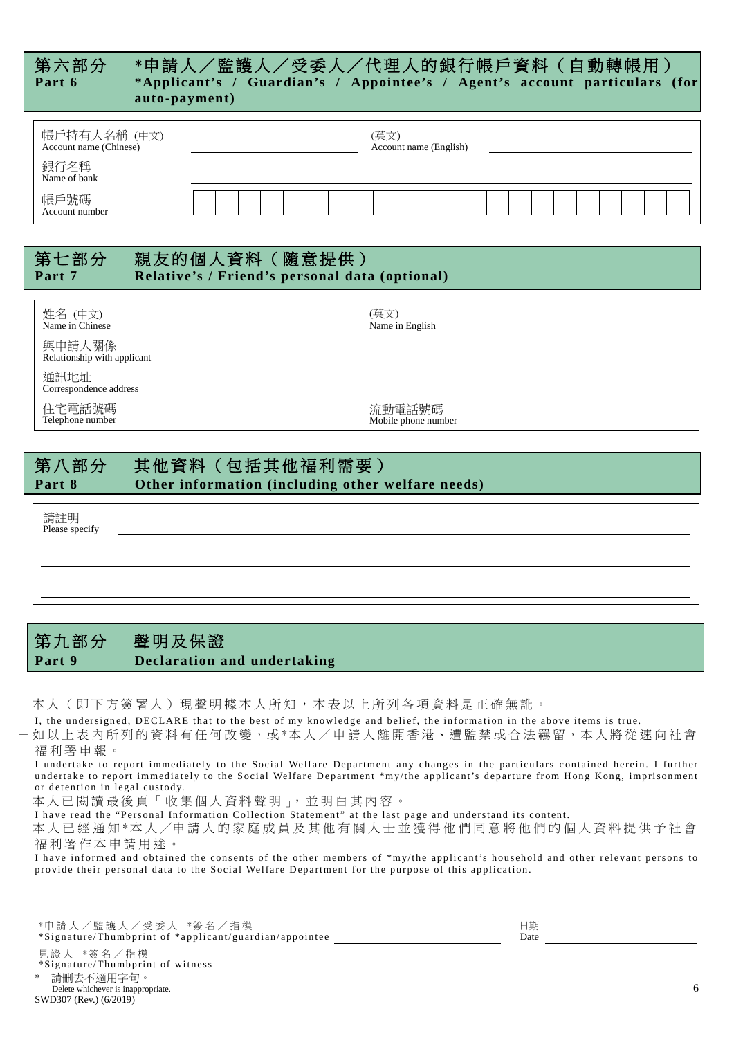| 第六部分   | *申請人/監護人/受委人/代理人的銀行帳戶資料(自動轉帳用)                                                              |
|--------|---------------------------------------------------------------------------------------------|
| Part 6 | *Applicant's / Guardian's / Appointee's / Agent's account particulars (for<br>auto-payment) |

| 帳戶持有人名稱 (中文)<br>Account name (Chinese) |  |  |  |  | (英文) | Account name (English) |  |  |  |  |  |  |
|----------------------------------------|--|--|--|--|------|------------------------|--|--|--|--|--|--|
| 銀行名稱<br>Name of bank                   |  |  |  |  |      |                        |  |  |  |  |  |  |
| 帳戶號碼<br>Account number                 |  |  |  |  |      |                        |  |  |  |  |  |  |

# 第七部分 親友的個人資料(隨意提供) **Part 7 Relative's / Friend's personal data (optional)**

| 姓名 (中文)<br>Name in Chinese            | (英文)<br>Name in English       |  |
|---------------------------------------|-------------------------------|--|
| 與申請人關係<br>Relationship with applicant |                               |  |
| 通訊地址<br>Correspondence address        |                               |  |
| 住宅電話號碼<br>Telephone number            | 流動電話號碼<br>Mobile phone number |  |

| 第八部分   | 其他資料(包括其他福利需要)                                    |
|--------|---------------------------------------------------|
| Part 8 | Other information (including other welfare needs) |

請註明 Please specify

L

# 第九部分 聲明及保證 **Part 9 Declaration and undertaking**

- 本人(即下方簽署人)現聲明據本人所知,本表以上所列各項資料是正確無訛。
- I, the undersigned, DECLARE that to the best of my knowledge and belief, the information in the above items is true.
- 如以上表內所列的資料有任何改變,或\*本人/申請人離開香港、遭監禁或合法羈留,本人將從速向社會 福利署申報。

I undertake to report immediately to the Social Welfare Department any changes in the particulars contained herein. I further undertake to report immediately to the Social Welfare Department \*my/the applicant's departure from Hong Kong, imprisonment or detention in legal custody.

- 本人已閱讀最後頁「收集個人資料聲明」, 並明白其內容。
- I have read the "Personal Information Collection Statement" at the last page and understand its content.
- 本人已經通知 \*本 人 /申請人的家庭成員及其他有關人士 並獲得他們同意將 他 們 的個人資料提供予社會 福利署作本申請用途。

I have informed and obtained the consents of the other members of \*my/the applicant's household and other relevant persons to provide their personal data to the Social Welfare Department for the purpose of this application.

\*申請人 / 監護人 / 受委人 \*簽 名 / 指 模 \*Signature/Thumbprint of \*applicant/guardian /appointee

日期 Date

見證人 \*簽 名 / 指 模 \*Signature/Thumbprint of witness \* 請刪去不適用字句。 Delete whichever is inappropriate. 6

|                        | Delete whichever is inapprop |
|------------------------|------------------------------|
| SWD307 (Rev.) (6/2019) |                              |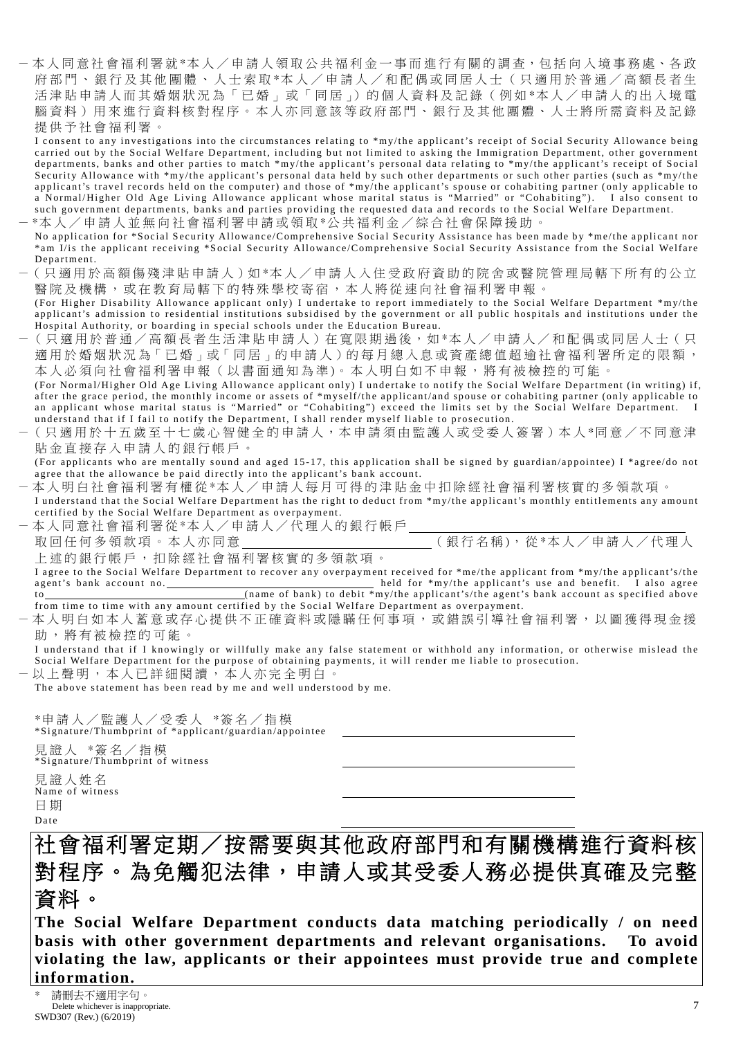- 本人同意社會福利署 就 \*本人/申請人領取公共福利金一事而進行有關的調查,包括向入境事務處、各政 府部門、銀行及其他團體、人士索取\*本人/申請人/和配偶或同居人士(只適用於普通/高額長者生 活津貼申請人而其婚姻狀況為「已婚」或「同居」)的個人資料及記錄(例如\*本人/申請人的出入境電 腦資料)用來進行資料核對程序。本人亦同意該等政府部門、銀行及其他團體、人士將所需資料及記錄 提供予社會福利署。

I consent to any investigations into the circumstances relating to \*my/the applicant's receipt of Social Security Allowance being carried out by the Social Welfare Department, including but not limited to asking the Immigration Department, other government departments, banks and other parties to match \*my/the applicant's personal data relating to \*my/the applicant's receipt of Social Security Allowance with \*my/the applicant's personal data held by such other departments or such other parties (such as \*my/the applicant's travel records held on the computer) and those of \*my/the applicant's spouse or cohabiting partner (only applicable to a Normal/Higher Old Age Living Allowance applicant whose marital status is "Married" or "Cohabiting"). I also consent to such government departments, banks and parties providing the requested data and records to the Social Welfare Department. - \*本人/申請人並無向社會福利署申請或領取 \*公共福利金/綜合社會保障援助。

- No application for \*Social Security Allowance/Comprehensive Social Security Assistance has been made by \*me/the applicant nor \*am I/is the applicant receiving \*Social Security Allowance/Comprehensive Social Security Assistance from the Social Welfare Department.
- -(只適用於高額傷殘津貼申請人)如\*本人/申請人入住受政府資助的院舍或醫院管理局轄下所有的公立 醫院及機構,或在教育局轄下的特殊學校寄宿,本人將從速向社會福利署申報。

(For Higher Disability Allowance applicant only) I undertake to report immediately to the Social Welfare Department \*my/the applicant's admission to residential institutions subsidised by the government or all public hospitals and institutions under the Hospital Authority, or boarding in special schools under the Education Bureau .

-(只適用於普通/高額長者生活津貼申請人)在寬限期過後,如 \*本人/申請人/和配偶或同居人士(只 適用於婚姻狀況為「已婚」或「同居」的申請人)的每月總入息或資產總值超逾社會福利署所定的限額, 本人必須向社會福利署申報(以書面通知為準 )。本人明白如不申報,將有被檢控的可能。 (For Normal/Higher Old Age Living Allowance applicant only) I undertake to notify the Social Welfare Department (in writing) if, after the grace period, the monthly income or assets of \*myself/the applicant/and spouse or cohabiting partner (only applicable to

an applicant whose marital status is "Married" or "Cohabiting") exceed the limits set by the Social Welfare Department. I understand that if I fail to notify the Department, I shall render myself liable to prosecution.

- ( 只 適 用 於 十 五 歲 至 十 七 歲 心 智 健 全 的 申 請 人 , 本 申 請 須 由 監 護 人 或 受 委 人 簽 署 )本 人 \*同 意 / 不 同 意 津 貼金直接存入申請人的銀行帳戶。

(For applicants who are mentally sound and aged 15-17, this application shall be signed by guardian/appointee) I \*agree/do not agree that the allowance be paid directly into the applicant's bank account.

- 本人明白社會福利署有權從 \*本人/申請人每月可得的津貼金中扣除經社會福利署核實的多領款項。 I understand that the Social Welfare Department has the right to deduct from \*my/the applicant's monthly entitlements any amount certified by the Social Welfare Department as overpayment.
- 本人同意社會福利署從 \*本人/申請人/代理人的銀行帳戶 取回任何多領款項。本人亦同意 (銀行名稱 ), 從 \*本人/申請人/代理人

上述的銀行帳戶,扣除經社會福利署核實的多領款項。 I agree to the Social Welfare Department to recover any overpayment received for \*me/the applicant from \*my/the applicant's/the agent's bank account no. **held for \*my/the applicant's use and benefit.** I also agree to (name of bank) to debit \*my/the applicant's/the agent's bank account as specified above from time to time with any amount certified by the Social Welfare Department as overpayment.

- 本人明白如本人蓄意或存心提供不正確資料或隱瞞任何事項,或就錯誤引導社會福利署,以圖獲得現金援 助,將有被檢控的可能。

I understand that if I knowingly or willfully make any false statement or withhold any information, or otherwise mislead the Social Welfare Department for the purpose of obtaining payments, it will render me liable to prosecution. 以上聲明,本人已詳細閱讀,本人亦完全明白。

The above statement has been read by me and well understood by me.

\*申請人 /監護人/受委人 \*簽名/指模 \*Signature/Thumbprint of \*applicant/guardian /appointee

見證人 \*簽名/指模 \*Signature/Thumbprint of witness

見證人姓名 Name of witness 日 期

Date

社會福利署定期/按需要與其他政府部門和有關機構進行資料核 對程序。為免觸犯法律,申請人或其受委人務必提供真確及完整 資料。

**The Social Welfare Department conducts data matching periodically / on need basis with other government departments and relevant organisations. To avoid violating the law, applicants or their appointees must provide true and complete information.**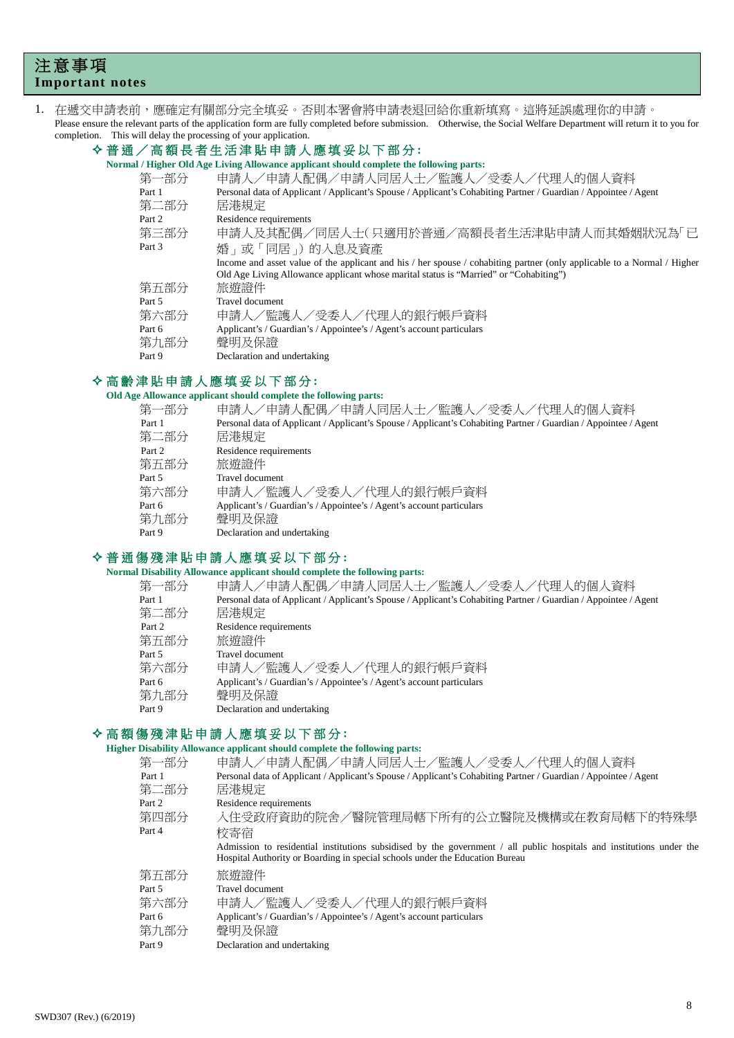# 注意事項 **Important notes**

1. 在遞交申請表前,應確定有關部分完全填妥。否則本署會將申請表退回給你重新填寫。這將延誤處理你的申請。 Please ensure the relevant parts of the application form are fully completed before submission. Otherwise, the Social Welfare Department will return it to you for completion. This will delay the processing of your application.

## 普通/高額長者生活 津貼申請人應填妥以下部分 **:**

|        | Normal / Higher Old Age Living Allowance applicant should complete the following parts:                                 |
|--------|-------------------------------------------------------------------------------------------------------------------------|
| 第一部分   | 申請人/申請人配偶/申請人同居人士/監護人/受委人/代理人的個人資料                                                                                      |
| Part 1 | Personal data of Applicant / Applicant's Spouse / Applicant's Cohabiting Partner / Guardian / Appointee / Agent         |
| 第二部分   | 居港規定                                                                                                                    |
| Part 2 | Residence requirements                                                                                                  |
| 第三部分   | 申請人及其配偶/同居人士( 只適用於普通/高額長者生活津貼申請人而其婚姻狀況為「已                                                                               |
| Part 3 | 婚 再或 「同居 」)的入息及資產                                                                                                       |
|        | Income and asset value of the applicant and his / her spouse / cohabiting partner (only applicable to a Normal / Higher |
|        | Old Age Living Allowance applicant whose marital status is "Married" or "Cohabiting"                                    |
| 第五部分   | 旅遊證件                                                                                                                    |
| Part 5 | Travel document                                                                                                         |
| 第六部分   | 申請人/監護人/受委人/代理人的銀行帳戶資料                                                                                                  |
| Part 6 | Applicant's / Guardian's / Appointee's / Agent's account particulars                                                    |
| 第九部分   | 聲明及保證                                                                                                                   |
| Part 9 | Declaration and undertaking                                                                                             |

## 高齡津貼申請人應填妥以下部分 **:**

## **Old Age Allowance applicant should complete the following parts:**

| 第一部分   | 申請人/申請人配偶/申請人同居人士/監護人/受委人/代理人的個人資料                                                                              |
|--------|-----------------------------------------------------------------------------------------------------------------|
| Part 1 | Personal data of Applicant / Applicant's Spouse / Applicant's Cohabiting Partner / Guardian / Appointee / Agent |
| 第二部分   | 居港規定                                                                                                            |
| Part 2 | Residence requirements                                                                                          |
| 第五部分   | 旅遊證件                                                                                                            |
| Part 5 | Travel document                                                                                                 |
| 第六部分   | 申請人/監護人/受委人/代理人的銀行帳戶資料                                                                                          |
| Part 6 | Applicant's / Guardian's / Appointee's / Agent's account particulars                                            |
| 第九部分   | 聲明及保證                                                                                                           |
| Part 9 | Declaration and undertaking                                                                                     |
|        |                                                                                                                 |

# 普通傷殘津貼申 請人應填妥以下部分 **:**

#### **Normal Disability Allowance applicant should complete the following parts:**

| 第一部分   | 申請人/申請人配偶/申請人同居人士/監護人/受委人/代理人的個人資料                                                                              |
|--------|-----------------------------------------------------------------------------------------------------------------|
| Part 1 | Personal data of Applicant / Applicant's Spouse / Applicant's Cohabiting Partner / Guardian / Appointee / Agent |
| 第二部分   | 居港規定                                                                                                            |
| Part 2 | Residence requirements                                                                                          |
| 第五部分   | 旅遊證件                                                                                                            |
| Part 5 | Travel document                                                                                                 |
| 第六部分   | 申請人/監護人/受委人/代理人的銀行帳戶資料                                                                                          |
| Part 6 | Applicant's / Guardian's / Appointee's / Agent's account particulars                                            |
| 第九部分   | 聲明及保證                                                                                                           |
| Part 9 | Declaration and undertaking                                                                                     |
|        |                                                                                                                 |
|        |                                                                                                                 |

## 高額傷殘津貼申請人應填妥以下部分 **:**

## **Higher Disability Allowance applicant should complete the following parts:**

|                | Disability Antowance applicant should complete the following parts.                                                                                                                                  |
|----------------|------------------------------------------------------------------------------------------------------------------------------------------------------------------------------------------------------|
| 第一部分           | 申請人/申請人配偶/申請人同居人士/監護人/受委人/代理人的個人資料                                                                                                                                                                   |
| Part 1         | Personal data of Applicant / Applicant's Spouse / Applicant's Cohabiting Partner / Guardian / Appointee / Agent                                                                                      |
| 第二部分           | 居港規定                                                                                                                                                                                                 |
| Part 2         | Residence requirements                                                                                                                                                                               |
| 第四部分<br>Part 4 | 入住受政府資助的院舍/醫院管理局轄下所有的公立醫院及機構或在教育局轄下的特殊學<br>校寄宿                                                                                                                                                       |
|                | Admission to residential institutions subsidised by the government / all public hospitals and institutions under the<br>Hospital Authority or Boarding in special schools under the Education Bureau |
| 第五部分           | 旅遊證件                                                                                                                                                                                                 |
| Part 5         | Travel document                                                                                                                                                                                      |
| 第六部分           | 申請人/監護人/受委人/代理人的銀行帳戶資料                                                                                                                                                                               |
| Part 6         | Applicant's / Guardian's / Appointee's / Agent's account particulars                                                                                                                                 |
| 第九部分           | 聲明及保證                                                                                                                                                                                                |
| Part 9         | Declaration and undertaking                                                                                                                                                                          |
|                |                                                                                                                                                                                                      |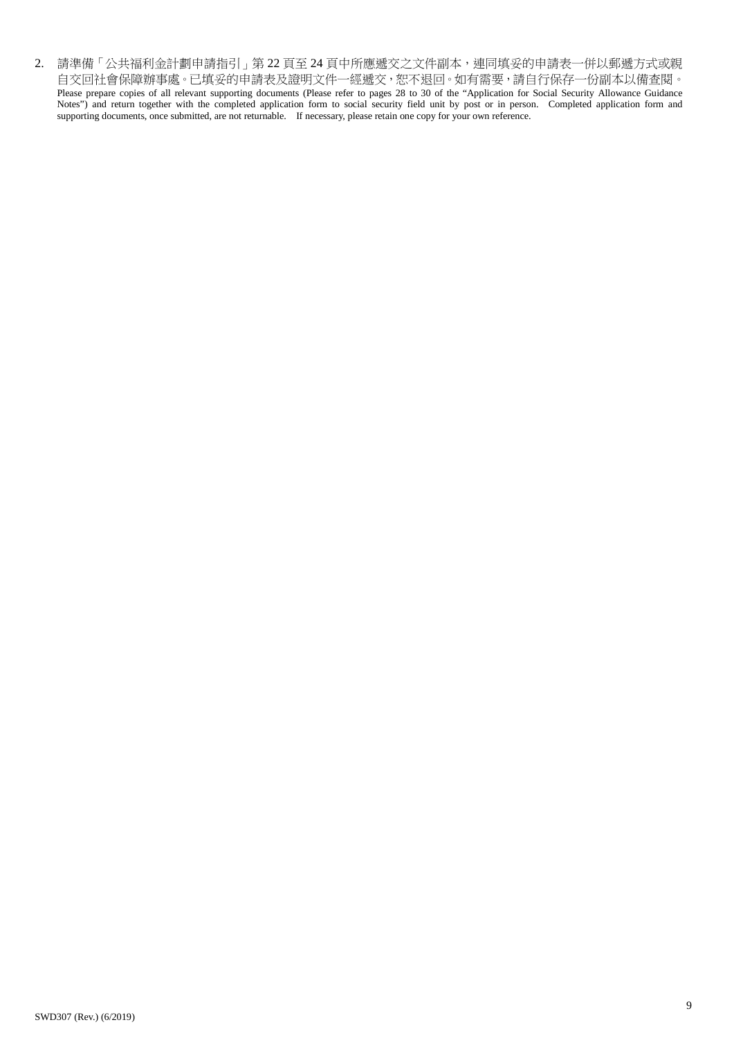2. 請準備「公共福利金計劃申請指引」第 22 頁至 24 頁中所應遞交之文件副本,連同填妥的申請表一併以郵遞方式或親 自交回社會保障辦事處。已填妥的申請表及證明文件一經遞交,恕不退回。如有需要,請自行保存一份副本以備查閱。 Please prepare copies of all relevant supporting documents (Please refer to pages 28 to 30 of the "Application for Social Security Allowance Guidance Notes") and return together with the completed application form to social security field unit by post or in person. Completed application form and supporting documents, once submitted, are not returnable. If necessary, please retain one copy for your own reference.